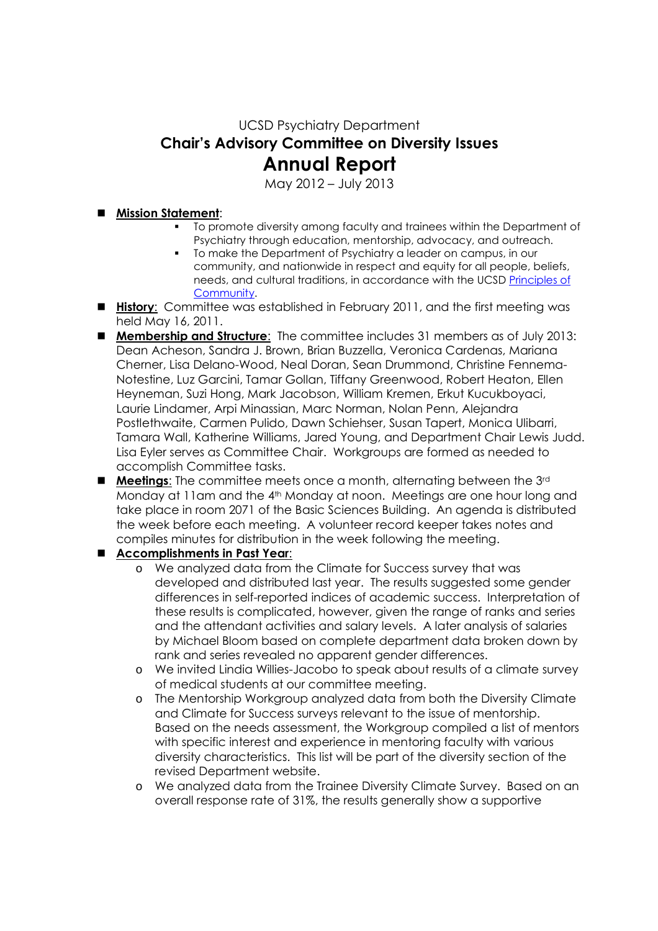UCSD Psychiatry Department **Chair's Advisory Committee on Diversity Issues** 

## **Annual Report**

May 2012 – July 2013

## **Mission Statement**:

- To promote diversity among faculty and trainees within the Department of Psychiatry through education, mentorship, advocacy, and outreach.
- To make the Department of Psychiatry a leader on campus, in our community, and nationwide in respect and equity for all people, beliefs, needs, and cultural traditions, in accordance with the UCSD Principles of Community.
- **History**: Committee was established in February 2011, and the first meeting was held May 16, 2011.
- **Membership and Structure**: The committee includes 31 members as of July 2013: Dean Acheson, Sandra J. Brown, Brian Buzzella, Veronica Cardenas, Mariana Cherner, Lisa Delano-Wood, Neal Doran, Sean Drummond, Christine Fennema-Notestine, Luz Garcini, Tamar Gollan, Tiffany Greenwood, Robert Heaton, Ellen Heyneman, Suzi Hong, Mark Jacobson, William Kremen, Erkut Kucukboyaci, Laurie Lindamer, Arpi Minassian, Marc Norman, Nolan Penn, Alejandra Postlethwaite, Carmen Pulido, Dawn Schiehser, Susan Tapert, Monica Ulibarri, Tamara Wall, Katherine Williams, Jared Young, and Department Chair Lewis Judd. Lisa Eyler serves as Committee Chair. Workgroups are formed as needed to accomplish Committee tasks.
- **Meetings**: The committee meets once a month, alternating between the 3rd Monday at 11am and the 4<sup>th</sup> Monday at noon. Meetings are one hour long and take place in room 2071 of the Basic Sciences Building. An agenda is distributed the week before each meeting. A volunteer record keeper takes notes and compiles minutes for distribution in the week following the meeting.
- **Accomplishments in Past Year**:
	- o We analyzed data from the Climate for Success survey that was developed and distributed last year. The results suggested some gender differences in self-reported indices of academic success. Interpretation of these results is complicated, however, given the range of ranks and series and the attendant activities and salary levels. A later analysis of salaries by Michael Bloom based on complete department data broken down by rank and series revealed no apparent gender differences.
	- o We invited Lindia Willies-Jacobo to speak about results of a climate survey of medical students at our committee meeting.
	- o The Mentorship Workgroup analyzed data from both the Diversity Climate and Climate for Success surveys relevant to the issue of mentorship. Based on the needs assessment, the Workgroup compiled a list of mentors with specific interest and experience in mentoring faculty with various diversity characteristics. This list will be part of the diversity section of the revised Department website.
	- o We analyzed data from the Trainee Diversity Climate Survey. Based on an overall response rate of 31%, the results generally show a supportive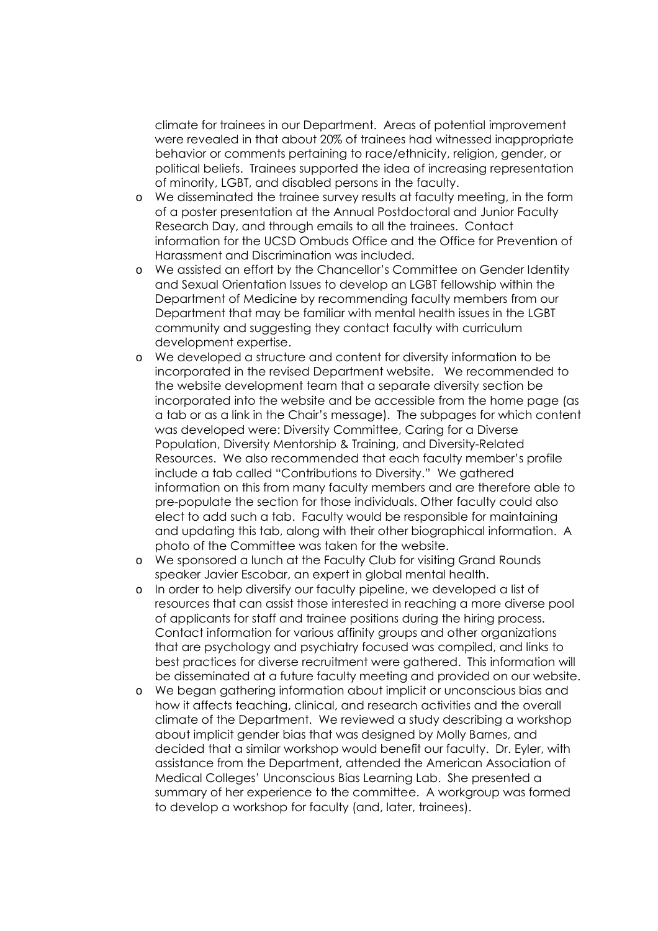climate for trainees in our Department. Areas of potential improvement were revealed in that about 20% of trainees had witnessed inappropriate behavior or comments pertaining to race/ethnicity, religion, gender, or political beliefs. Trainees supported the idea of increasing representation of minority, LGBT, and disabled persons in the faculty.

- o We disseminated the trainee survey results at faculty meeting, in the form of a poster presentation at the Annual Postdoctoral and Junior Faculty Research Day, and through emails to all the trainees. Contact information for the UCSD Ombuds Office and the Office for Prevention of Harassment and Discrimination was included.
- o We assisted an effort by the Chancellor's Committee on Gender Identity and Sexual Orientation Issues to develop an LGBT fellowship within the Department of Medicine by recommending faculty members from our Department that may be familiar with mental health issues in the LGBT community and suggesting they contact faculty with curriculum development expertise.
- o We developed a structure and content for diversity information to be incorporated in the revised Department website. We recommended to the website development team that a separate diversity section be incorporated into the website and be accessible from the home page (as a tab or as a link in the Chair's message). The subpages for which content was developed were: Diversity Committee, Caring for a Diverse Population, Diversity Mentorship & Training, and Diversity-Related Resources. We also recommended that each faculty member's profile include a tab called "Contributions to Diversity." We gathered information on this from many faculty members and are therefore able to pre-populate the section for those individuals. Other faculty could also elect to add such a tab. Faculty would be responsible for maintaining and updating this tab, along with their other biographical information. A photo of the Committee was taken for the website.
- o We sponsored a lunch at the Faculty Club for visiting Grand Rounds speaker Javier Escobar, an expert in global mental health.
- o In order to help diversify our faculty pipeline, we developed a list of resources that can assist those interested in reaching a more diverse pool of applicants for staff and trainee positions during the hiring process. Contact information for various affinity groups and other organizations that are psychology and psychiatry focused was compiled, and links to best practices for diverse recruitment were gathered. This information will be disseminated at a future faculty meeting and provided on our website.
- o We began gathering information about implicit or unconscious bias and how it affects teaching, clinical, and research activities and the overall climate of the Department. We reviewed a study describing a workshop about implicit gender bias that was designed by Molly Barnes, and decided that a similar workshop would benefit our faculty. Dr. Eyler, with assistance from the Department, attended the American Association of Medical Colleges' Unconscious Bias Learning Lab. She presented a summary of her experience to the committee. A workgroup was formed to develop a workshop for faculty (and, later, trainees).